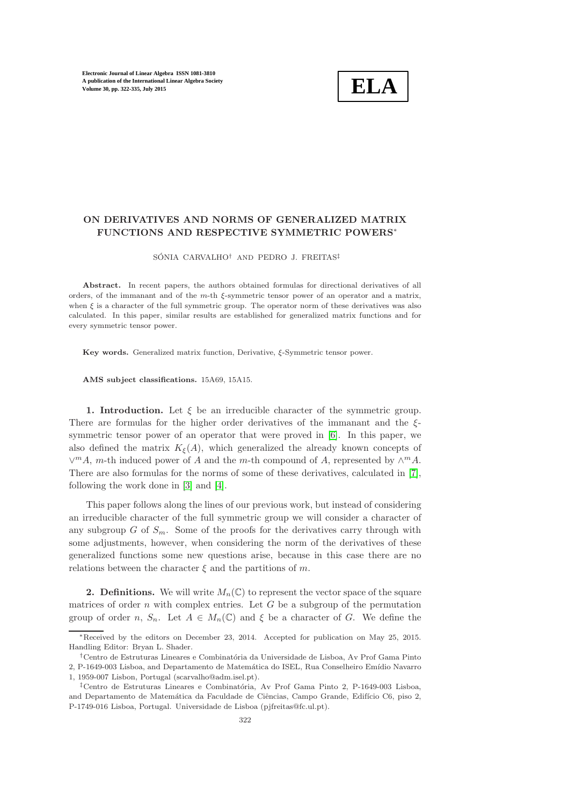

# ON DERIVATIVES AND NORMS OF GENERALIZED MATRIX FUNCTIONS AND RESPECTIVE SYMMETRIC POWERS<sup>∗</sup>

SÓNIA CARVALHO<sup>†</sup> AND PEDRO J. FREITAS<sup>‡</sup>

Abstract. In recent papers, the authors obtained formulas for directional derivatives of all orders, of the immanant and of the m-th ξ-symmetric tensor power of an operator and a matrix, when  $\xi$  is a character of the full symmetric group. The operator norm of these derivatives was also calculated. In this paper, similar results are established for generalized matrix functions and for every symmetric tensor power.

Key words. Generalized matrix function, Derivative,  $\xi$ -Symmetric tensor power.

AMS subject classifications. 15A69, 15A15.

1. Introduction. Let  $\xi$  be an irreducible character of the symmetric group. There are formulas for the higher order derivatives of the immanant and the ξsymmetric tensor power of an operator that were proved in [\[6\]](#page-13-0). In this paper, we also defined the matrix  $K_{\xi}(A)$ , which generalized the already known concepts of  $\vee^m A$ , *m*-th induced power of A and the *m*-th compound of A, represented by  $\wedge^m A$ . There are also formulas for the norms of some of these derivatives, calculated in [\[7\]](#page-13-1), following the work done in [\[3\]](#page-13-2) and [\[4\]](#page-13-3).

This paper follows along the lines of our previous work, but instead of considering an irreducible character of the full symmetric group we will consider a character of any subgroup G of  $S_m$ . Some of the proofs for the derivatives carry through with some adjustments, however, when considering the norm of the derivatives of these generalized functions some new questions arise, because in this case there are no relations between the character  $\xi$  and the partitions of m.

**2. Definitions.** We will write  $M_n(\mathbb{C})$  to represent the vector space of the square matrices of order  $n$  with complex entries. Let  $G$  be a subgroup of the permutation group of order n,  $S_n$ . Let  $A \in M_n(\mathbb{C})$  and  $\xi$  be a character of G. We define the

<sup>∗</sup>Received by the editors on December 23, 2014. Accepted for publication on May 25, 2015. Handling Editor: Bryan L. Shader.

<sup>&</sup>lt;sup>†</sup>Centro de Estruturas Lineares e Combinatória da Universidade de Lisboa, Av Prof Gama Pinto 2, P-1649-003 Lisboa, and Departamento de Matemática do ISEL, Rua Conselheiro Emídio Navarro 1, 1959-007 Lisbon, Portugal (scarvalho@adm.isel.pt).

<sup>&</sup>lt;sup>‡</sup>Centro de Estruturas Lineares e Combinatória, Av Prof Gama Pinto 2, P-1649-003 Lisboa, and Departamento de Matemática da Faculdade de Ciências, Campo Grande, Edifício C6, piso 2, P-1749-016 Lisboa, Portugal. Universidade de Lisboa (pjfreitas@fc.ul.pt).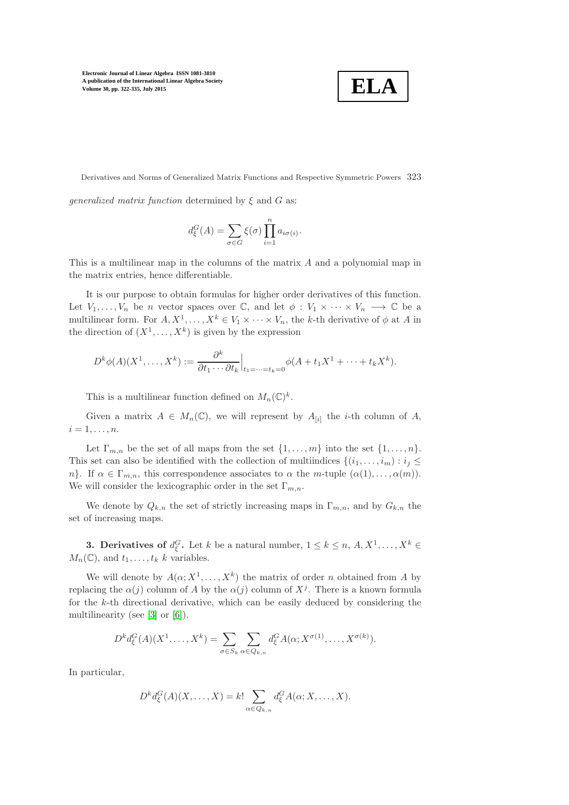

Derivatives and Norms of Generalized Matrix Functions and Respective Symmetric Powers 323

*generalized matrix function* determined by  $\xi$  and  $G$  as:

$$
d_{\xi}^{G}(A) = \sum_{\sigma \in G} \xi(\sigma) \prod_{i=1}^{n} a_{i\sigma(i)}.
$$

This is a multilinear map in the columns of the matrix A and a polynomial map in the matrix entries, hence differentiable.

It is our purpose to obtain formulas for higher order derivatives of this function. Let  $V_1, \ldots, V_n$  be n vector spaces over  $\mathbb{C}$ , and let  $\phi : V_1 \times \cdots \times V_n \longrightarrow \mathbb{C}$  be a multilinear form. For  $A, X^1, \ldots, X^k \in V_1 \times \cdots \times V_n$ , the k-th derivative of  $\phi$  at A in the direction of  $(X^1, \ldots, X^k)$  is given by the expression

$$
D^k \phi(A)(X^1, \dots, X^k) := \frac{\partial^k}{\partial t_1 \cdots \partial t_k} \Big|_{t_1 = \dots = t_k = 0} \phi(A + t_1 X^1 + \dots + t_k X^k).
$$

This is a multilinear function defined on  $M_n(\mathbb{C})^k$ .

Given a matrix  $A \in M_n(\mathbb{C})$ , we will represent by  $A_{[i]}$  the *i*-th column of A,  $i=1,\ldots,n.$ 

Let  $\Gamma_{m,n}$  be the set of all maps from the set  $\{1,\ldots,m\}$  into the set  $\{1,\ldots,n\}$ . This set can also be identified with the collection of multiindices  $\{(i_1, \ldots, i_m) : i_j \leq j \}$ n}. If  $\alpha \in \Gamma_{m,n}$ , this correspondence associates to  $\alpha$  the m-tuple  $(\alpha(1), \ldots, \alpha(m))$ . We will consider the lexicographic order in the set  $\Gamma_{m,n}$ .

We denote by  $Q_{k,n}$  the set of strictly increasing maps in  $\Gamma_{m,n}$ , and by  $G_{k,n}$  the set of increasing maps.

**3. Derivatives of**  $d_{\xi}^{G}$ . Let k be a natural number,  $1 \leq k \leq n, A, X^{1}, \ldots, X^{k} \in$  $M_n(\mathbb{C})$ , and  $t_1, \ldots, t_k$  k variables.

We will denote by  $A(\alpha; X^1, \ldots, X^k)$  the matrix of order n obtained from A by replacing the  $\alpha(j)$  column of A by the  $\alpha(j)$  column of  $X^j$ . There is a known formula for the k-th directional derivative, which can be easily deduced by considering the multilinearity (see [\[3\]](#page-13-2) or [\[6\]](#page-13-0)).

$$
D^k d_{\xi}^G(A)(X^1,\ldots,X^k) = \sum_{\sigma \in S_k} \sum_{\alpha \in Q_{k,n}} d_{\xi}^G A(\alpha; X^{\sigma(1)},\ldots,X^{\sigma(k)}).
$$

In particular,

$$
D^k d_{\xi}^G(A)(X,\ldots,X) = k! \sum_{\alpha \in Q_{k,n}} d_{\xi}^G A(\alpha; X, \ldots, X).
$$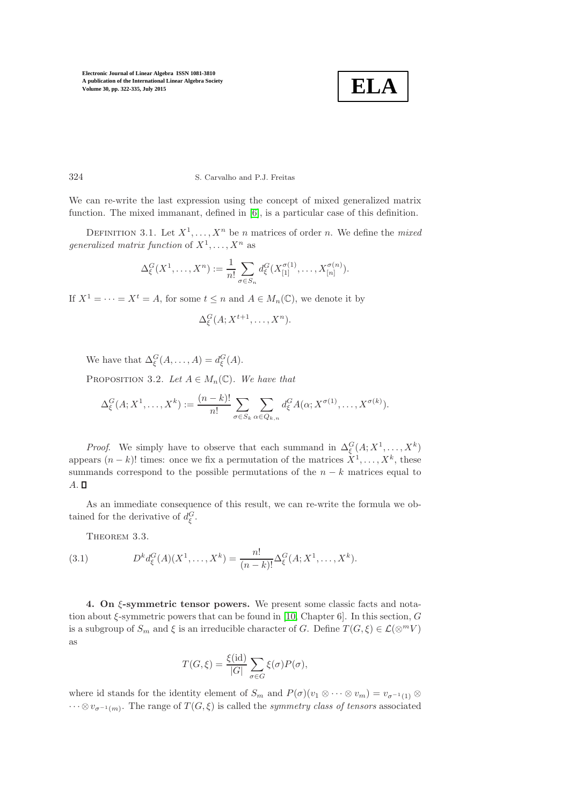

## 324 S. Carvalho and P.J. Freitas

We can re-write the last expression using the concept of mixed generalized matrix function. The mixed immanant, defined in [\[6\]](#page-13-0), is a particular case of this definition.

DEFINITION 3.1. Let  $X^1, \ldots, X^n$  be *n* matrices of order *n*. We define the *mixed generalized matrix function* of  $X^1, \ldots, X^n$  as

$$
\Delta_{\xi}^{G}(X^{1},\ldots,X^{n}) := \frac{1}{n!} \sum_{\sigma \in S_{n}} d_{\xi}^{G}(X_{[1]}^{\sigma(1)},\ldots,X_{[n]}^{\sigma(n)}).
$$

If  $X^1 = \cdots = X^t = A$ , for some  $t \leq n$  and  $A \in M_n(\mathbb{C})$ , we denote it by

$$
\Delta_{\xi}^G(A;X^{t+1},\ldots,X^n).
$$

We have that  $\Delta_{\xi}^{G}(A,\ldots,A)=d_{\xi}^{G}(A).$ 

PROPOSITION 3.2. Let  $A \in M_n(\mathbb{C})$ . We have that

$$
\Delta_{\xi}^{G}(A;X^{1},\ldots,X^{k}) := \frac{(n-k)!}{n!} \sum_{\sigma \in S_{k}} \sum_{\alpha \in Q_{k,n}} d_{\xi}^{G} A(\alpha;X^{\sigma(1)},\ldots,X^{\sigma(k)}).
$$

*Proof.* We simply have to observe that each summand in  $\Delta_{\xi}^{G}(A; X^1, \ldots, X^k)$ appears  $(n-k)!$  times: once we fix a permutation of the matrices  $X^1, \ldots, X^k$ , these summands correspond to the possible permutations of the  $n - k$  matrices equal to  $A. \square$ 

As an immediate consequence of this result, we can re-write the formula we obtained for the derivative of  $d_{\xi}^{G}$ .

<span id="page-2-0"></span>THEOREM 3.3.

(3.1) 
$$
D^{k}d_{\xi}^{G}(A)(X^{1},...,X^{k}) = \frac{n!}{(n-k)!}\Delta_{\xi}^{G}(A;X^{1},...,X^{k}).
$$

<span id="page-2-1"></span>4. On ξ-symmetric tensor powers. We present some classic facts and notation about ξ-symmetric powers that can be found in [\[10,](#page-13-4) Chapter 6]. In this section, G is a subgroup of  $S_m$  and  $\xi$  is an irreducible character of G. Define  $T(G, \xi) \in \mathcal{L}(\otimes^m V)$ as

$$
T(G,\xi) = \frac{\xi(\mathrm{id})}{|G|} \sum_{\sigma \in G} \xi(\sigma) P(\sigma),
$$

where id stands for the identity element of  $S_m$  and  $P(\sigma)(v_1 \otimes \cdots \otimes v_m) = v_{\sigma^{-1}(1)} \otimes$  $\dots \otimes v_{\sigma^{-1}(m)}$ . The range of  $T(G,\xi)$  is called the *symmetry class of tensors* associated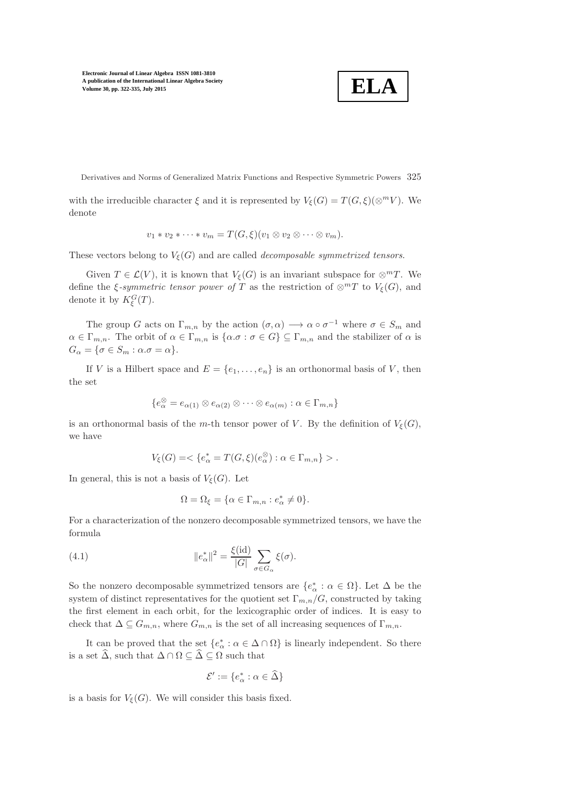$$
\boxed{\textbf{ELA}}
$$

Derivatives and Norms of Generalized Matrix Functions and Respective Symmetric Powers 325

with the irreducible character  $\xi$  and it is represented by  $V_{\xi}(G) = T(G, \xi)(\otimes^m V)$ . We denote

$$
v_1 * v_2 * \cdots * v_m = T(G, \xi)(v_1 \otimes v_2 \otimes \cdots \otimes v_m).
$$

These vectors belong to  $V_{\xi}(G)$  and are called *decomposable symmetrized tensors*.

Given  $T \in \mathcal{L}(V)$ , it is known that  $V_{\xi}(G)$  is an invariant subspace for  $\otimes^m T$ . We define the  $\xi$ -symmetric tensor power of T as the restriction of  $\otimes^m T$  to  $V_{\xi}(G)$ , and denote it by  $K_{\xi}^{G}(T)$ .

The group G acts on  $\Gamma_{m,n}$  by the action  $(\sigma, \alpha) \longrightarrow \alpha \circ \sigma^{-1}$  where  $\sigma \in S_m$  and  $\alpha \in \Gamma_{m,n}$ . The orbit of  $\alpha \in \Gamma_{m,n}$  is  $\{\alpha \cdot \sigma : \sigma \in G\} \subseteq \Gamma_{m,n}$  and the stabilizer of  $\alpha$  is  $G_{\alpha} = {\sigma \in S_m : \alpha \sigma = \alpha}.$ 

If V is a Hilbert space and  $E = \{e_1, \ldots, e_n\}$  is an orthonormal basis of V, then the set

$$
\{e_{\alpha}^{\otimes}=e_{\alpha(1)}\otimes e_{\alpha(2)}\otimes\cdots\otimes e_{\alpha(m)}:\alpha\in\Gamma_{m,n}\}\
$$

is an orthonormal basis of the m-th tensor power of V. By the definition of  $V_{\xi}(G)$ , we have

$$
V_{\xi}(G)=\langle e^*_{\alpha}=T(G,\xi)(e_{\alpha}^{\otimes}): \alpha\in \Gamma_{m,n}\} \rangle.
$$

In general, this is not a basis of  $V_{\xi}(G)$ . Let

$$
\Omega = \Omega_{\xi} = \{ \alpha \in \Gamma_{m,n} : e^*_{\alpha} \neq 0 \}.
$$

<span id="page-3-0"></span>For a characterization of the nonzero decomposable symmetrized tensors, we have the formula

(4.1) 
$$
\|e_{\alpha}^*\|^2 = \frac{\xi(\mathrm{id})}{|G|} \sum_{\sigma \in G_{\alpha}} \xi(\sigma).
$$

So the nonzero decomposable symmetrized tensors are  $\{e^*_{\alpha} : \alpha \in \Omega\}$ . Let  $\Delta$  be the system of distinct representatives for the quotient set  $\Gamma_{m,n}/G$ , constructed by taking the first element in each orbit, for the lexicographic order of indices. It is easy to check that  $\Delta \subseteq G_{m,n}$ , where  $G_{m,n}$  is the set of all increasing sequences of  $\Gamma_{m,n}$ .

It can be proved that the set  $\{e^*_{\alpha} : \alpha \in \Delta \cap \Omega\}$  is linearly independent. So there is a set  $\widehat{\Delta}$ , such that  $\Delta \cap \Omega \subseteq \widehat{\Delta} \subseteq \Omega$  such that

$$
\mathcal{E}' := \{ e^*_{\alpha} : \alpha \in \widehat{\Delta} \}
$$

is a basis for  $V_{\xi}(G)$ . We will consider this basis fixed.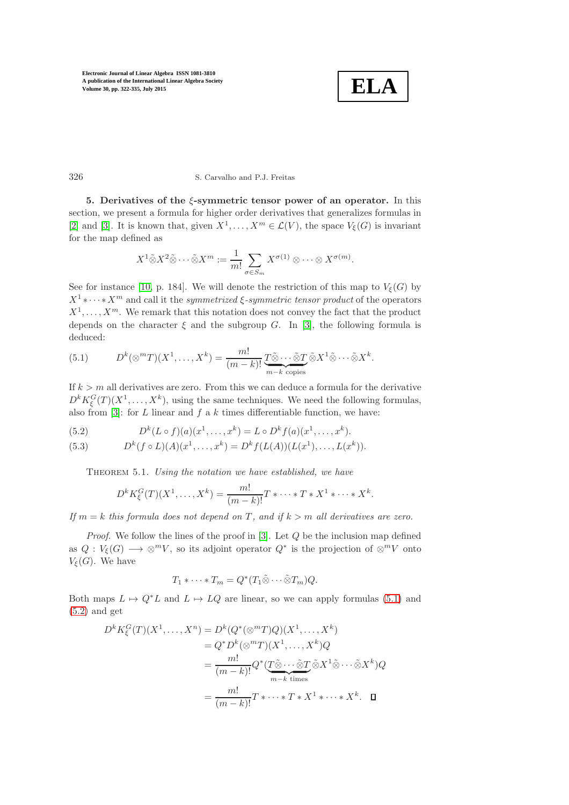

# 326 S. Carvalho and P.J. Freitas

5. Derivatives of the  $\xi$ -symmetric tensor power of an operator. In this section, we present a formula for higher order derivatives that generalizes formulas in [\[2\]](#page-13-5) and [\[3\]](#page-13-2). It is known that, given  $X^1, \ldots, X^m \in \mathcal{L}(V)$ , the space  $V_{\xi}(G)$  is invariant for the map defined as

$$
X^1 \tilde{\otimes} X^2 \tilde{\otimes} \cdots \tilde{\otimes} X^m := \frac{1}{m!} \sum_{\sigma \in S_m} X^{\sigma(1)} \otimes \cdots \otimes X^{\sigma(m)}.
$$

See for instance [\[10,](#page-13-4) p. 184]. We will denote the restriction of this map to  $V_{\xi}(G)$  by  $X^1 \ast \cdots \ast X^m$  and call it the *symmetrized*  $\xi$ -symmetric tensor product of the operators  $X^1, \ldots, X^m$ . We remark that this notation does not convey the fact that the product depends on the character  $\xi$  and the subgroup G. In [\[3\]](#page-13-2), the following formula is deduced:

<span id="page-4-0"></span>(5.1) 
$$
D^{k}(\otimes^{m}T)(X^{1},\ldots,X^{k})=\frac{m!}{(m-k)!}\underbrace{T\tilde{\otimes}\cdots\tilde{\otimes}T}_{m-k \text{ copies}}\tilde{\otimes}X^{1}\tilde{\otimes}\cdots\tilde{\otimes}X^{k}.
$$

If  $k > m$  all derivatives are zero. From this we can deduce a formula for the derivative  $D^{k} K_{\xi}^{G}(T) (X^{1}, \ldots, X^{k}),$  using the same techniques. We need the following formulas, also from [\[3\]](#page-13-2): for  $L$  linear and  $f$  a  $k$  times differentiable function, we have:

<span id="page-4-1"></span>(5.2) 
$$
D^{k}(L \circ f)(a)(x^{1},...,x^{k}) = L \circ D^{k}f(a)(x^{1},...,x^{k}).
$$

<span id="page-4-2"></span>(5.3) 
$$
D^{k}(f \circ L)(A)(x^{1},...,x^{k}) = D^{k}f(L(A))(L(x^{1}),...,L(x^{k})).
$$

THEOREM 5.1. *Using the notation we have established, we have* 

$$
D^{k} K_{\xi}^{G}(T)(X^{1},...,X^{k}) = \frac{m!}{(m-k)!}T * \cdots * T * X^{1} * \cdots * X^{k}.
$$

*If*  $m = k$  *this formula does not depend on*  $T$ *, and if*  $k > m$  *all derivatives are zero.* 

*Proof.* We follow the lines of the proof in [\[3\]](#page-13-2). Let Q be the inclusion map defined as  $Q: V_{\xi}(G) \longrightarrow \otimes^m V$ , so its adjoint operator  $Q^*$  is the projection of  $\otimes^m V$  onto  $V_{\mathcal{E}}(G)$ . We have

$$
T_1 * \cdots * T_m = Q^*(T_1 \tilde{\otimes} \cdots \tilde{\otimes} T_m) Q.
$$

Both maps  $L \mapsto Q^*L$  and  $L \mapsto LQ$  are linear, so we can apply formulas [\(5.1\)](#page-4-0) and  $(5.2)$  and get

$$
D^{k} K_{\xi}^{G}(T)(X^{1},...,X^{n}) = D^{k}(Q^{*}(\otimes^{m}T)Q)(X^{1},...,X^{k})
$$
  
\n
$$
= Q^{*}D^{k}(\otimes^{m}T)(X^{1},...,X^{k})Q
$$
  
\n
$$
= \frac{m!}{(m-k)!}Q^{*}(T\tilde{\otimes}...\tilde{\otimes}T\tilde{\otimes}X^{1}\tilde{\otimes}...\tilde{\otimes}X^{k})Q
$$
  
\n
$$
= \frac{m!}{(m-k)!}T^{*}...*T^{*}X^{1}^{*}...*X^{k}.\quad \Box
$$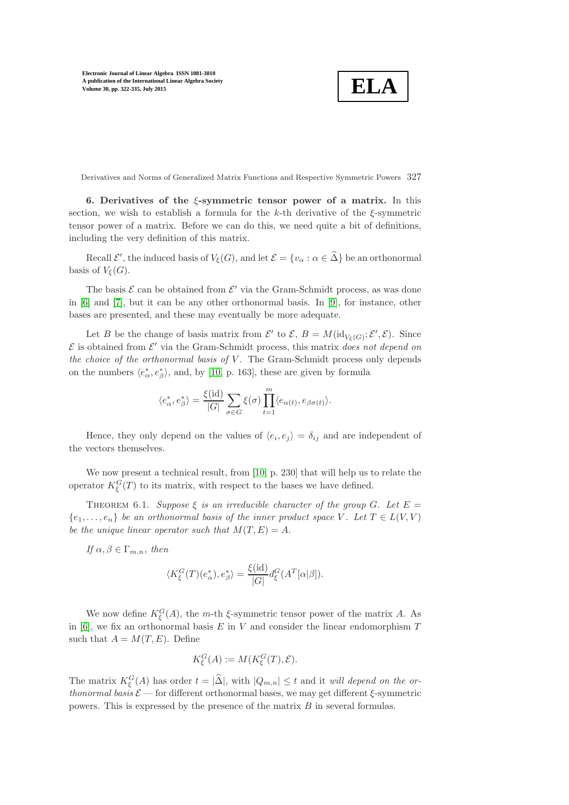$$
\boxed{\textbf{ELA}}
$$

Derivatives and Norms of Generalized Matrix Functions and Respective Symmetric Powers 327

6. Derivatives of the  $\xi$ -symmetric tensor power of a matrix. In this section, we wish to establish a formula for the  $k$ -th derivative of the  $\xi$ -symmetric tensor power of a matrix. Before we can do this, we need quite a bit of definitions, including the very definition of this matrix.

Recall  $\mathcal{E}'$ , the induced basis of  $V_{\xi}(G)$ , and let  $\mathcal{E} = \{v_{\alpha} : \alpha \in \hat{\Delta}\}\)$  be an orthonormal basis of  $V_{\mathcal{E}}(G)$ .

The basis  $\mathcal E$  can be obtained from  $\mathcal E'$  via the Gram-Schmidt process, as was done in [\[6\]](#page-13-0) and [\[7\]](#page-13-1), but it can be any other orthonormal basis. In [\[9\]](#page-13-6), for instance, other bases are presented, and these may eventually be more adequate.

Let B be the change of basis matrix from  $\mathcal{E}'$  to  $\mathcal{E}, B = M(\mathrm{id}_{V_{\xi}(G)}; \mathcal{E}', \mathcal{E})$ . Since  $\mathcal E$  is obtained from  $\mathcal E'$  via the Gram-Schmidt process, this matrix *does not depend on the choice of the orthonormal basis of* V. The Gram-Schmidt process only depends on the numbers  $\langle e^*_{\alpha}, e^*_{\beta} \rangle$ , and, by [\[10,](#page-13-4) p. 163], these are given by formula

$$
\langle e^*_{\alpha}, e^*_{\beta} \rangle = \frac{\xi(\text{id})}{|G|} \sum_{\sigma \in G} \xi(\sigma) \prod_{t=1}^m \langle e_{\alpha(t)}, e_{\beta \sigma(t)} \rangle.
$$

Hence, they only depend on the values of  $\langle e_i, e_j \rangle = \delta_{ij}$  and are independent of the vectors themselves.

We now present a technical result, from [\[10,](#page-13-4) p. 230] that will help us to relate the operator  $K_{\xi}^{G}(T)$  to its matrix, with respect to the bases we have defined.

THEOREM 6.1. *Suppose*  $\xi$  *is an irreducible character of the group*  $G$ *. Let*  $E =$  ${e_1, \ldots, e_n}$  *be an orthonormal basis of the inner product space* V. Let  $T \in L(V, V)$ *be the unique linear operator such that*  $M(T, E) = A$ .

If 
$$
\alpha, \beta \in \Gamma_{m,n}
$$
, then

$$
\langle K_{\xi}^{G}(T)(e_{\alpha}^{*}), e_{\beta}^{*} \rangle = \frac{\xi(\mathrm{id})}{|G|} d_{\xi}^{G}(A^{T}[\alpha|\beta]).
$$

We now define  $K_{\xi}^{G}(A)$ , the m-th  $\xi$ -symmetric tensor power of the matrix A. As in [\[6\]](#page-13-0), we fix an orthonormal basis  $E$  in  $V$  and consider the linear endomorphism  $T$ such that  $A = M(T, E)$ . Define

$$
K_{\xi}^{G}(A) := M(K_{\xi}^{G}(T), \mathcal{E}).
$$

The matrix  $K_{\xi}^{G}(A)$  has order  $t = |\hat{\Delta}|$ , with  $|Q_{m,n}| \leq t$  and it *will depend on the orthonormal basis*  $\mathcal{E}$  — for different orthonormal bases, we may get different  $\xi$ -symmetric powers. This is expressed by the presence of the matrix B in several formulas.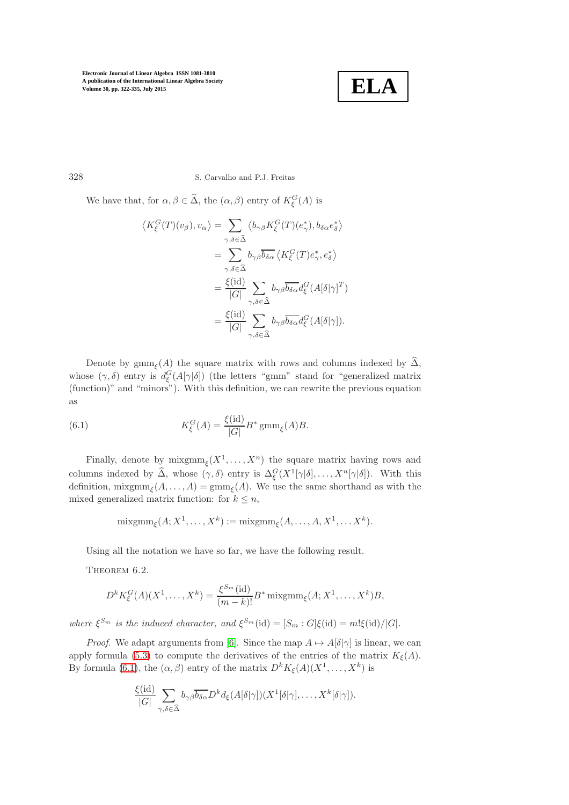

328 S. Carvalho and P.J. Freitas

We have that, for  $\alpha, \beta \in \widehat{\Delta}$ , the  $(\alpha, \beta)$  entry of  $K_{\xi}^{G}(A)$  is

$$
\langle K_{\xi}^{G}(T)(v_{\beta}), v_{\alpha} \rangle = \sum_{\gamma, \delta \in \hat{\Delta}} \langle b_{\gamma \beta} K_{\xi}^{G}(T)(e_{\gamma}^{*}), b_{\delta \alpha} e_{\delta}^{*} \rangle
$$
  

$$
= \sum_{\gamma, \delta \in \hat{\Delta}} b_{\gamma \beta} \overline{b_{\delta \alpha}} \langle K_{\xi}^{G}(T) e_{\gamma}^{*}, e_{\delta}^{*} \rangle
$$
  

$$
= \frac{\xi(\mathrm{id})}{|G|} \sum_{\gamma, \delta \in \hat{\Delta}} b_{\gamma \beta} \overline{b_{\delta \alpha}} d_{\xi}^{G}(A[\delta|\gamma]^{T})
$$
  

$$
= \frac{\xi(\mathrm{id})}{|G|} \sum_{\gamma, \delta \in \hat{\Delta}} b_{\gamma \beta} \overline{b_{\delta \alpha}} d_{\xi}^{G}(A[\delta|\gamma]).
$$

Denote by  $\operatorname{gmm}_\xi(A)$  the square matrix with rows and columns indexed by  $\Delta$ , whose  $(\gamma, \delta)$  entry is  $d_{\xi}^{G}(A[\gamma|\delta])$  (the letters "gmm" stand for "generalized matrix (function)" and "minors"). With this definition, we can rewrite the previous equation as

<span id="page-6-0"></span>(6.1) 
$$
K_{\xi}^{G}(A) = \frac{\xi(\text{id})}{|G|} B^* \operatorname{gmm}_{\xi}(A) B.
$$

Finally, denote by  $\text{mixgmm}_{\xi}(X^1,\ldots,X^n)$  the square matrix having rows and columns indexed by  $\widehat{\Delta}$ , whose  $(\gamma, \delta)$  entry is  $\Delta_{\xi}^G(X^1[\gamma|\delta], \ldots, X^n[\gamma|\delta]).$  With this definition,  $\text{mixgmm}_{\xi}(A,\ldots,A)=\text{gmm}_{\xi}(A)$ . We use the same shorthand as with the mixed generalized matrix function: for  $k \leq n$ ,

$$
\mathrm{mixgmm}_{\xi}(A;X^1,\ldots,X^k):=\mathrm{mixgmm}_{\xi}(A,\ldots,A,X^1,\ldots X^k).
$$

Using all the notation we have so far, we have the following result.

THEOREM 6.2.

$$
D^k K_{\xi}^G(A)(X^1,\ldots,X^k) = \frac{\xi^{S_m}(\mathrm{id})}{(m-k)!} B^* \operatorname{mixgmm}_{\xi}(A;X^1,\ldots,X^k)B,
$$

*where*  $\xi^{S_m}$  *is the induced character, and*  $\xi^{S_m}(\text{id}) = [S_m : G]\xi(\text{id}) = m! \xi(\text{id})/|G|$ *.* 

*Proof.* We adapt arguments from [\[6\]](#page-13-0). Since the map  $A \mapsto A[\delta|\gamma]$  is linear, we can apply formula [\(5.3\)](#page-4-1) to compute the derivatives of the entries of the matrix  $K_{\xi}(A)$ . By formula [\(6.1\)](#page-6-0), the  $(\alpha, \beta)$  entry of the matrix  $D^{k}K_{\xi}(A)(X^1, \ldots, X^k)$  is

$$
\frac{\xi(\mathrm{id})}{|G|}\sum_{\gamma,\delta\in\widehat{\Delta}}b_{\gamma\beta}\overline{b_{\delta\alpha}}D^kd_{\xi}(A[\delta|\gamma])(X^1[\delta|\gamma],\ldots,X^k[\delta|\gamma]).
$$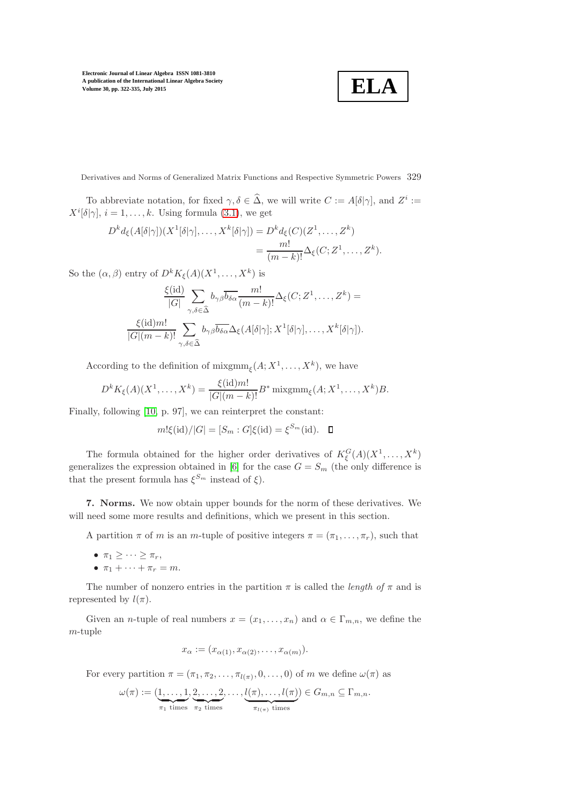**ELA**

Derivatives and Norms of Generalized Matrix Functions and Respective Symmetric Powers 329

To abbreviate notation, for fixed  $\gamma, \delta \in \widehat{\Delta}$ , we will write  $C := A[\delta|\gamma]$ , and  $Z^i :=$  $X^i[\delta|\gamma], i = 1, \ldots, k$ . Using formula [\(3.1\)](#page-2-0), we get

$$
D^k d_{\xi}(A[\delta|\gamma])(X^1[\delta|\gamma], \dots, X^k[\delta|\gamma]) = D^k d_{\xi}(C)(Z^1, \dots, Z^k)
$$
  
= 
$$
\frac{m!}{(m-k)!} \Delta_{\xi}(C; Z^1, \dots, Z^k).
$$

So the  $(\alpha, \beta)$  entry of  $D^k K_{\xi}(A)(X^1, \ldots, X^k)$  is

$$
\frac{\xi(\mathrm{id})}{|G|} \sum_{\gamma,\delta \in \widehat{\Delta}} b_{\gamma\beta} \overline{b_{\delta\alpha}} \frac{m!}{(m-k)!} \Delta_{\xi}(C;Z^1,\ldots,Z^k) =
$$
  

$$
\frac{\xi(\mathrm{id})m!}{|G|(m-k)!} \sum_{\gamma,\delta \in \widehat{\Delta}} b_{\gamma\beta} \overline{b_{\delta\alpha}} \Delta_{\xi}(A[\delta|\gamma];X^1[\delta|\gamma],\ldots,X^k[\delta|\gamma]).
$$

According to the definition of  $\text{mixgmm}_{\xi}(A; X^1, \ldots, X^k)$ , we have

$$
D^{k} K_{\xi}(A)(X^{1},..., X^{k}) = \frac{\xi(\mathrm{id})m!}{|G|(m-k)!} B^{*} \operatorname{mixgmm}_{\xi}(A; X^{1},..., X^{k})B.
$$

Finally, following [\[10,](#page-13-4) p. 97], we can reinterpret the constant:

$$
m! \xi(\text{id})/|G| = [S_m : G] \xi(\text{id}) = \xi^{S_m}(\text{id}).
$$

The formula obtained for the higher order derivatives of  $K_{\xi}^{G}(A)(X^{1},...,X^{k})$ generalizes the expression obtained in [\[6\]](#page-13-0) for the case  $G = S_m$  (the only difference is that the present formula has  $\xi^{S_m}$  instead of  $\xi$ ).

7. Norms. We now obtain upper bounds for the norm of these derivatives. We will need some more results and definitions, which we present in this section.

A partition  $\pi$  of m is an m-tuple of positive integers  $\pi = (\pi_1, \ldots, \pi_r)$ , such that

- $\pi_1 \geq \cdots \geq \pi_r$
- $\pi_1 + \cdots + \pi_r = m$ .

The number of nonzero entries in the partition  $\pi$  is called the *length of*  $\pi$  and is represented by  $l(\pi)$ .

Given an *n*-tuple of real numbers  $x = (x_1, \ldots, x_n)$  and  $\alpha \in \Gamma_{m,n}$ , we define the m-tuple

$$
x_{\alpha} := (x_{\alpha(1)}, x_{\alpha(2)}, \dots, x_{\alpha(m)}).
$$

For every partition  $\pi = (\pi_1, \pi_2, \ldots, \pi_{l(\pi)}, 0, \ldots, 0)$  of m we define  $\omega(\pi)$  as

$$
\omega(\pi) := (\underbrace{1, \ldots, 1}_{\pi_1 \text{ times}}, \underbrace{2, \ldots, 2}_{\pi_2 \text{ times}}, \ldots, \underbrace{l(\pi), \ldots, l(\pi)}_{\pi_{l(\pi)} \text{ times}}) \in G_{m,n} \subseteq \Gamma_{m,n}.
$$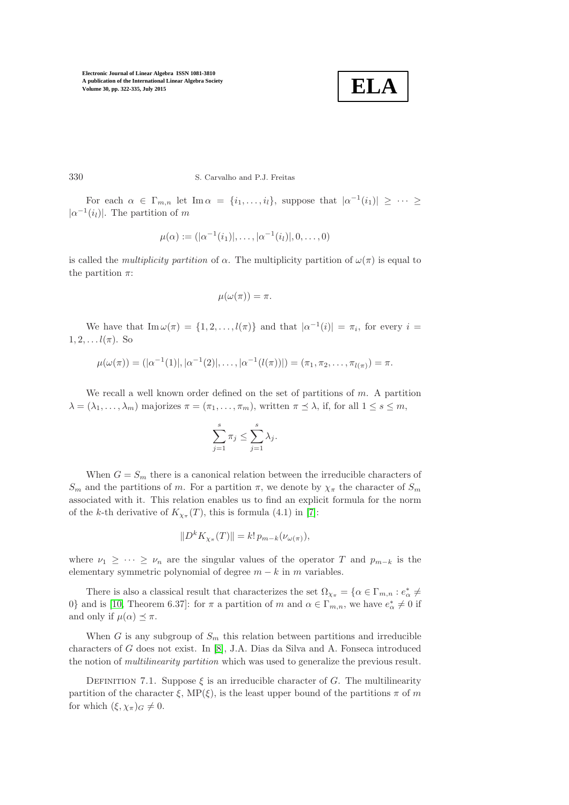

330 S. Carvalho and P.J. Freitas

For each  $\alpha \in \Gamma_{m,n}$  let  $\text{Im}\,\alpha = \{i_1,\ldots,i_l\}$ , suppose that  $|\alpha^{-1}(i_1)| \geq \cdots \geq$  $|\alpha^{-1}(i_l)|$ . The partition of m

$$
\mu(\alpha) := (|\alpha^{-1}(i_1)|, \ldots, |\alpha^{-1}(i_l)|, 0, \ldots, 0)
$$

is called the *multiplicity partition* of  $\alpha$ . The multiplicity partition of  $\omega(\pi)$  is equal to the partition  $\pi$ :

$$
\mu(\omega(\pi)) = \pi.
$$

We have that  $\text{Im}\,\omega(\pi) = \{1, 2, \ldots, l(\pi)\}\$  and that  $|\alpha^{-1}(i)| = \pi_i$ , for every  $i =$  $1, 2, \ldots l(\pi)$ . So

$$
\mu(\omega(\pi)) = (|\alpha^{-1}(1)|, |\alpha^{-1}(2)|, \ldots, |\alpha^{-1}(l(\pi))|) = (\pi_1, \pi_2, \ldots, \pi_{l(\pi)}) = \pi.
$$

We recall a well known order defined on the set of partitions of  $m$ . A partition  $\lambda = (\lambda_1, \ldots, \lambda_m)$  majorizes  $\pi = (\pi_1, \ldots, \pi_m)$ , written  $\pi \preceq \lambda$ , if, for all  $1 \leq s \leq m$ ,

$$
\sum_{j=1}^{s} \pi_j \le \sum_{j=1}^{s} \lambda_j.
$$

When  $G = S_m$  there is a canonical relation between the irreducible characters of  $S_m$  and the partitions of m. For a partition  $\pi$ , we denote by  $\chi_{\pi}$  the character of  $S_m$ associated with it. This relation enables us to find an explicit formula for the norm of the k-th derivative of  $K_{\chi_{\pi}}(T)$ , this is formula (4.1) in [\[7\]](#page-13-1):

$$
||D^k K_{\chi_\pi}(T)|| = k! \, p_{m-k}(\nu_{\omega(\pi)}),
$$

where  $\nu_1 \geq \cdots \geq \nu_n$  are the singular values of the operator T and  $p_{m-k}$  is the elementary symmetric polynomial of degree  $m - k$  in m variables.

There is also a classical result that characterizes the set  $\Omega_{\chi_{\pi}} = \{ \alpha \in \Gamma_{m,n} : e^*_{\alpha} \neq 0 \}$ 0} and is [\[10,](#page-13-4) Theorem 6.37]: for  $\pi$  a partition of m and  $\alpha \in \Gamma_{m,n}$ , we have  $e^*_{\alpha} \neq 0$  if and only if  $\mu(\alpha) \preceq \pi$ .

When G is any subgroup of  $S_m$  this relation between partitions and irreducible characters of G does not exist. In [\[8\]](#page-13-7), J.A. Dias da Silva and A. Fonseca introduced the notion of *multilinearity partition* which was used to generalize the previous result.

DEFINITION 7.1. Suppose  $\xi$  is an irreducible character of G. The multilinearity partition of the character  $\xi$ , MP( $\xi$ ), is the least upper bound of the partitions  $\pi$  of m for which  $(\xi, \chi_{\pi})_G \neq 0$ .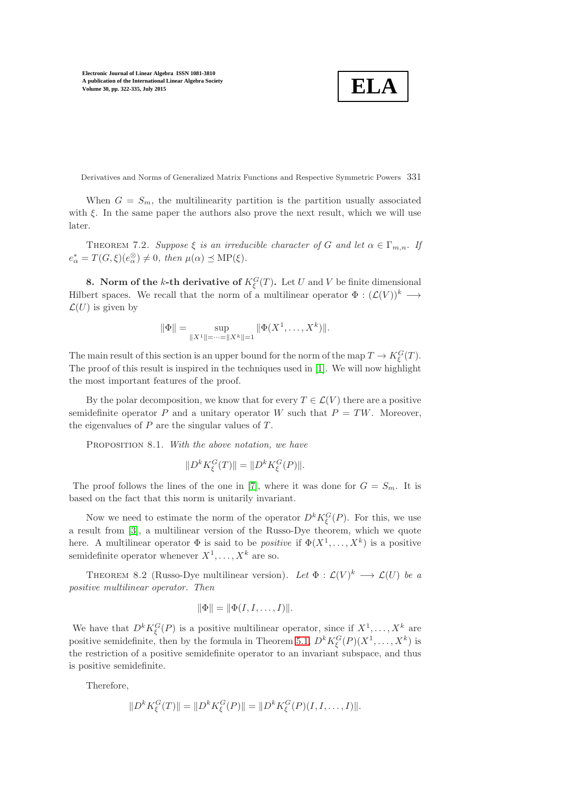$$
\boxed{\textbf{ELA}}
$$

Derivatives and Norms of Generalized Matrix Functions and Respective Symmetric Powers 331

When  $G = S_m$ , the multilinearity partition is the partition usually associated with  $\xi$ . In the same paper the authors also prove the next result, which we will use later.

THEOREM 7.2. *Suppose*  $\xi$  *is an irreducible character of* G *and let*  $\alpha \in \Gamma_{m,n}$ . If  $e^*_{\alpha} = T(G,\xi)(e^{\otimes}_{\alpha}) \neq 0$ , then  $\mu(\alpha) \preceq \text{MP}(\xi)$ .

**8.** Norm of the k-th derivative of  $K_{\xi}^{G}(T)$ . Let U and V be finite dimensional Hilbert spaces. We recall that the norm of a multilinear operator  $\Phi : (\mathcal{L}(V))^k \longrightarrow$  $\mathcal{L}(U)$  is given by

$$
\|\Phi\| = \sup_{\|X^1\| = \dots = \|X^k\| = 1} \|\Phi(X^1, \dots, X^k)\|.
$$

The main result of this section is an upper bound for the norm of the map  $T \to K_{\xi}^{G}(T)$ . The proof of this result is inspired in the techniques used in [\[1\]](#page-13-8). We will now highlight the most important features of the proof.

By the polar decomposition, we know that for every  $T \in \mathcal{L}(V)$  there are a positive semidefinite operator P and a unitary operator W such that  $P = TW$ . Moreover, the eigenvalues of  $P$  are the singular values of  $T$ .

Proposition 8.1. *With the above notation, we have*

$$
||D^k K_{\xi}^G(T)|| = ||D^k K_{\xi}^G(P)||.
$$

The proof follows the lines of the one in [\[7\]](#page-13-1), where it was done for  $G = S_m$ . It is based on the fact that this norm is unitarily invariant.

Now we need to estimate the norm of the operator  $D^k K_{\xi}^G(P)$ . For this, we use a result from [\[3\]](#page-13-2), a multilinear version of the Russo-Dye theorem, which we quote here. A multilinear operator  $\Phi$  is said to be *positive* if  $\Phi(X^1, \ldots, X^k)$  is a positive semidefinite operator whenever  $X^1, \ldots, X^k$  are so.

THEOREM 8.2 (Russo-Dye multilinear version). Let  $\Phi : \mathcal{L}(V)^k \longrightarrow \mathcal{L}(U)$  be a *positive multilinear operator. Then*

$$
\|\Phi\| = \|\Phi(I, I, \dots, I)\|.
$$

We have that  $D^k K_{\xi}^G(P)$  is a positive multilinear operator, since if  $X^1, \ldots, X^k$  are positive semidefinite, then by the formula in Theorem [5.1,](#page-4-2)  $D^{k} K_{\xi}^{G}(P)(X^{1}, \ldots, X^{k})$  is the restriction of a positive semidefinite operator to an invariant subspace, and thus is positive semidefinite.

Therefore,

$$
||D^k K_{\xi}^G(T)|| = ||D^k K_{\xi}^G(P)|| = ||D^k K_{\xi}^G(P)(I, I, \dots, I)||.
$$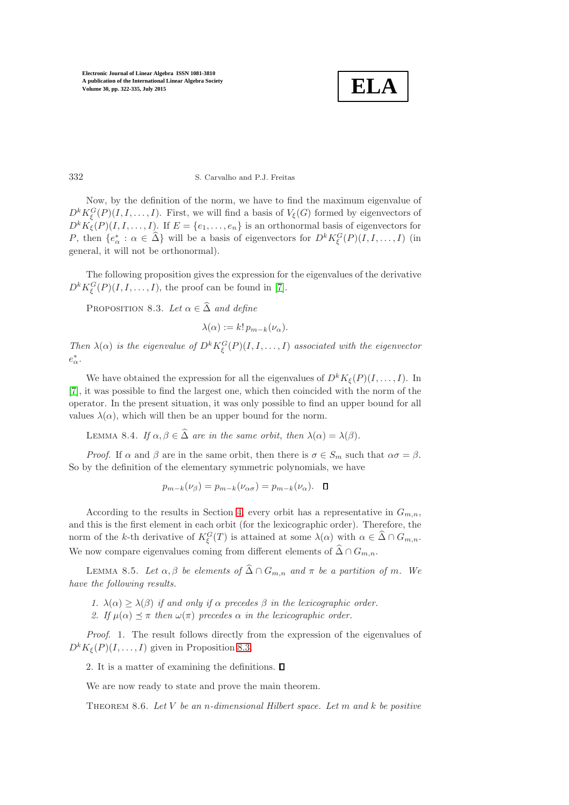

### 332 S. Carvalho and P.J. Freitas

Now, by the definition of the norm, we have to find the maximum eigenvalue of  $D^{k} K_{\xi}^{G}(P)(I, I, \ldots, I)$ . First, we will find a basis of  $V_{\xi}(G)$  formed by eigenvectors of  $D^{k}K_{\xi}(P)(I, I, \ldots, I)$ . If  $E = \{e_1, \ldots, e_n\}$  is an orthonormal basis of eigenvectors for P, then  $\{e^*_\alpha : \alpha \in \hat{\Delta}\}\$  will be a basis of eigenvectors for  $D^k K^G_{\xi}(P)(I, I, \ldots, I)$  (in general, it will not be orthonormal).

<span id="page-10-0"></span>The following proposition gives the expression for the eigenvalues of the derivative  $D^{k} K_{\xi}^{G}(P)(I, I, \ldots, I),$  the proof can be found in [\[7\]](#page-13-1).

PROPOSITION 8.3. Let  $\alpha \in \widehat{\Delta}$  *and define* 

 $\lambda(\alpha) := k! \, p_{m-k}(\nu_\alpha).$ 

Then  $\lambda(\alpha)$  *is the eigenvalue of*  $D^k K_{\xi}^G(P)(I, I, \ldots, I)$  *associated with the eigenvector* e ∗ α*.*

We have obtained the expression for all the eigenvalues of  $D^k K_{\xi}(P)(I, \ldots, I)$ . In [\[7\]](#page-13-1), it was possible to find the largest one, which then coincided with the norm of the operator. In the present situation, it was only possible to find an upper bound for all values  $\lambda(\alpha)$ , which will then be an upper bound for the norm.

LEMMA 8.4. *If*  $\alpha, \beta \in \widehat{\Delta}$  *are in the same orbit, then*  $\lambda(\alpha) = \lambda(\beta)$ *.* 

*Proof.* If  $\alpha$  and  $\beta$  are in the same orbit, then there is  $\sigma \in S_m$  such that  $\alpha \sigma = \beta$ . So by the definition of the elementary symmetric polynomials, we have

$$
p_{m-k}(\nu_{\beta}) = p_{m-k}(\nu_{\alpha\sigma}) = p_{m-k}(\nu_{\alpha}). \quad \blacksquare
$$

According to the results in Section [4,](#page-2-1) every orbit has a representative in  $G_{m,n}$ , and this is the first element in each orbit (for the lexicographic order). Therefore, the norm of the k-th derivative of  $K_{\xi}^{G}(T)$  is attained at some  $\lambda(\alpha)$  with  $\alpha \in \widehat{\Delta} \cap G_{m,n}$ . We now compare eigenvalues coming from different elements of  $\widehat{\Delta} \cap G_{m,n}$ .

**LEMMA 8.5.** *Let* α, β *be elements of*  $\widehat{\Delta} ∩ G_{m,n}$  *and* π *be a partition of* m. We *have the following results.*

- *1.*  $\lambda(\alpha) \geq \lambda(\beta)$  *if and only if*  $\alpha$  *precedes*  $\beta$  *in the lexicographic order.*
- 2. If  $\mu(\alpha) \preceq \pi$  then  $\omega(\pi)$  precedes  $\alpha$  *in the lexicographic order.*

*Proof*. 1. The result follows directly from the expression of the eigenvalues of  $D^k K_{\xi}(P)(I, \ldots, I)$  given in Proposition [8.3.](#page-10-0)

2. It is a matter of examining the definitions.  $\Box$ 

We are now ready to state and prove the main theorem.

Theorem 8.6. *Let* V *be an* n*-dimensional Hilbert space. Let* m *and* k *be positive*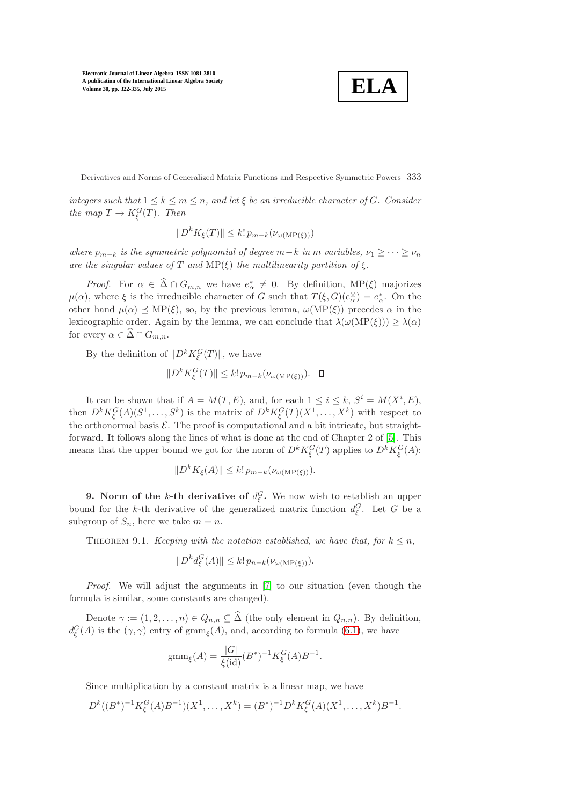$$
\boxed{\textbf{ELA}}
$$

Derivatives and Norms of Generalized Matrix Functions and Respective Symmetric Powers 333

*integers such that*  $1 \leq k \leq m \leq n$ , and let  $\xi$  be an irreducible character of G. Consider *the map*  $T \to K_{\xi}^{G}(T)$ *. Then* 

$$
||D^k K_{\xi}(T)|| \leq k! \, p_{m-k}(\nu_{\omega(\text{MP}(\xi))})
$$

*where*  $p_{m-k}$  *is the symmetric polynomial of degree*  $m-k$  *in* m *variables,*  $\nu_1 \geq \cdots \geq \nu_n$ *are the singular values of* T *and*  $MP(\xi)$  *the multilinearity partition of*  $\xi$ *.* 

*Proof.* For  $\alpha \in \widehat{\Delta} \cap G_{m,n}$  we have  $e^*_{\alpha} \neq 0$ . By definition, MP( $\xi$ ) majorizes  $\mu(\alpha)$ , where  $\xi$  is the irreducible character of G such that  $T(\xi, G)(e_{\alpha}^{\otimes}) = e_{\alpha}^{*}$ . On the other hand  $\mu(\alpha) \preceq \text{MP}(\xi)$ , so, by the previous lemma,  $\omega(\text{MP}(\xi))$  precedes  $\alpha$  in the lexicographic order. Again by the lemma, we can conclude that  $\lambda(\omega(MP(\xi))) \geq \lambda(\alpha)$ for every  $\alpha \in \widehat{\Delta} \cap G_{m,n}$ .

By the definition of  $||D^k K_{\xi}^G(T)||$ , we have

$$
||D^k K_{\xi}^G(T)|| \le k! \, p_{m-k}(\nu_{\omega(\text{MP}(\xi))}). \quad \Box
$$

It can be shown that if  $A = M(T, E)$ , and, for each  $1 \leq i \leq k$ ,  $S^i = M(X^i, E)$ , then  $D^k K_{\xi}^G(A)(S^1,\ldots,S^k)$  is the matrix of  $D^k K_{\xi}^G(T)(X^1,\ldots,X^k)$  with respect to the orthonormal basis  $\mathcal{E}$ . The proof is computational and a bit intricate, but straightforward. It follows along the lines of what is done at the end of Chapter 2 of [\[5\]](#page-13-9). This means that the upper bound we got for the norm of  $D^k K_{\xi}^G(T)$  applies to  $D^k K_{\xi}^G(A)$ :

$$
||D^k K_{\xi}(A)|| \leq k! \, p_{m-k}(\nu_{\omega(\text{MP}(\xi))}).
$$

**9.** Norm of the k-th derivative of  $d_{\xi}^{G}$ . We now wish to establish an upper bound for the k-th derivative of the generalized matrix function  $d_{\xi}^{G}$ . Let G be a subgroup of  $S_n$ , here we take  $m = n$ .

THEOREM 9.1. *Keeping with the notation established, we have that, for*  $k \leq n$ *,* 

$$
||D^k d_{\xi}^G(A)|| \leq k! \, p_{n-k}(\nu_{\omega(\text{MP}(\xi))}).
$$

*Proof.* We will adjust the arguments in [\[7\]](#page-13-1) to our situation (even though the formula is similar, some constants are changed).

Denote  $\gamma := (1, 2, \ldots, n) \in Q_{n,n} \subseteq \widehat{\Delta}$  (the only element in  $Q_{n,n}$ ). By definition,  $d_{\xi}^{G}(A)$  is the  $(\gamma, \gamma)$  entry of gmm<sub> $\xi$ </sub> $(A)$ , and, according to formula [\(6.1\)](#page-6-0), we have

$$
gmm_{\xi}(A) = \frac{|G|}{\xi(id)} (B^*)^{-1} K_{\xi}^{G}(A) B^{-1}.
$$

Since multiplication by a constant matrix is a linear map, we have

$$
D^{k}((B^{*})^{-1}K_{\xi}^{G}(A)B^{-1})(X^{1},\ldots,X^{k})=(B^{*})^{-1}D^{k}K_{\xi}^{G}(A)(X^{1},\ldots,X^{k})B^{-1}.
$$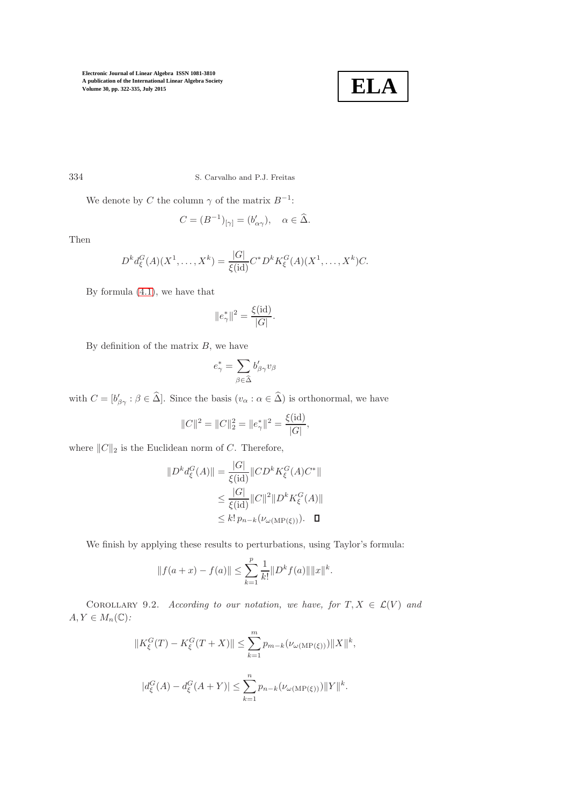

334 S. Carvalho and P.J. Freitas

We denote by C the column  $\gamma$  of the matrix  $B^{-1}$ :

$$
C = (B^{-1})_{[\gamma]} = (b'_{\alpha\gamma}), \quad \alpha \in \widehat{\Delta}.
$$

Then

$$
D^{k} d_{\xi}^{G}(A)(X^{1},...,X^{k}) = \frac{|G|}{\xi(\mathrm{id})} C^{*} D^{k} K_{\xi}^{G}(A)(X^{1},...,X^{k}) C.
$$

By formula [\(4.1\)](#page-3-0), we have that

$$
||e^*_{\gamma}||^2 = \frac{\xi(\mathrm{id})}{|G|}.
$$

By definition of the matrix  $B$ , we have

$$
e_\gamma^*=\sum_{\beta\in\widehat{\Delta}}b_{\beta\gamma}'v_\beta
$$

with  $C = [b'_{\beta\gamma} : \beta \in \hat{\Delta}]$ . Since the basis  $(v_{\alpha} : \alpha \in \hat{\Delta})$  is orthonormal, we have

$$
||C||^2 = ||C||_2^2 = ||e^*_{\gamma}||^2 = \frac{\xi(\text{id})}{|G|},
$$

where  $||C||_2$  is the Euclidean norm of C. Therefore,

$$
||D^k d^G_{\xi}(A)|| = \frac{|G|}{\xi(\text{id})} ||CD^k K^G_{\xi}(A)C^*||
$$
  

$$
\leq \frac{|G|}{\xi(\text{id})} ||C||^2 ||D^k K^G_{\xi}(A)||
$$
  

$$
\leq k! p_{n-k} (\nu_{\omega(\text{MP}(\xi)))}. \quad \Box
$$

We finish by applying these results to perturbations, using Taylor's formula:

$$
||f(a+x) - f(a)|| \le \sum_{k=1}^{p} \frac{1}{k!} ||D^{k} f(a)|| ||x||^{k}.
$$

COROLLARY 9.2. *According to our notation, we have, for*  $T, X \in \mathcal{L}(V)$  and  $A, Y \in M_n(\mathbb{C})$ :

$$
||K_{\xi}^{G}(T) - K_{\xi}^{G}(T + X)|| \leq \sum_{k=1}^{m} p_{m-k}(\nu_{\omega(\text{MP}(\xi))}) ||X||^{k},
$$
  

$$
|d_{\xi}^{G}(A) - d_{\xi}^{G}(A + Y)| \leq \sum_{k=1}^{n} p_{n-k}(\nu_{\omega(\text{MP}(\xi))}) ||Y||^{k}.
$$